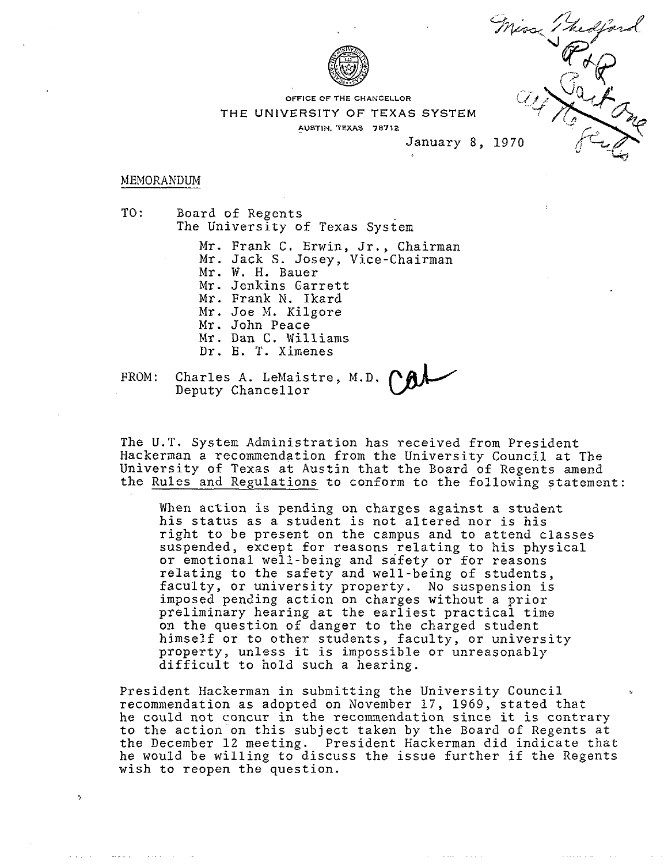

**OFFICE OF THE CHANCELLOR** 

**THE UNIVERSITY OF TEXAS SYSTEM** 

**AUSTIN. TEXAS 78712** 

January 8, 1970

Cartons

#### MEMORANDUM

TO : Board of Regents The University of Texas System

Mr. Frank C. Erwin, Jr., Chairman Mr. Jack S. Josey, Vice-chairman Mr. W. H. Bauer Mr. Jenkins Garrett Mr. Frank N. Ikard Mr. Joe M. Kilgore Mr. John Peace Mr. Dan C. Williams Dr. E. T. Ximenes

FROM : Charles A. LeMaistre, M.D. Deputy Chancellor

The U.T. System Administration has received from President Hackerman a recommendation from the University Council at The University of Texas at Austin that the Board of Regents amend the Rules and Regulations to conform to the following statement:

When action is pending on charges against a student his status as a student is not altered nor is his right to be present on the campus and to attend classes suspended, except for reasons relating to his physical or emotional well-being and safety or for reasons relating to the safety and well-being of students, faculty, or university property. No suspension is imposed pending action on charges without a prior preliminary hearing at the earliest practical time on the question of danger to the charged student himself or to other students, faculty, or university property, unless it is impossible or unreasonably difficult to hold such a hearing.

President Hackerman in submitting the University Council recommendation as adopted on November 17, 1969, stated that he could not concur in the recommendation since it is contrary to the action on this subject taken by the Board of Regents at the December 12 meeting. President Hackerman did indicate that he would be willing to discuss the issue further if the Regents wish to reopen the question.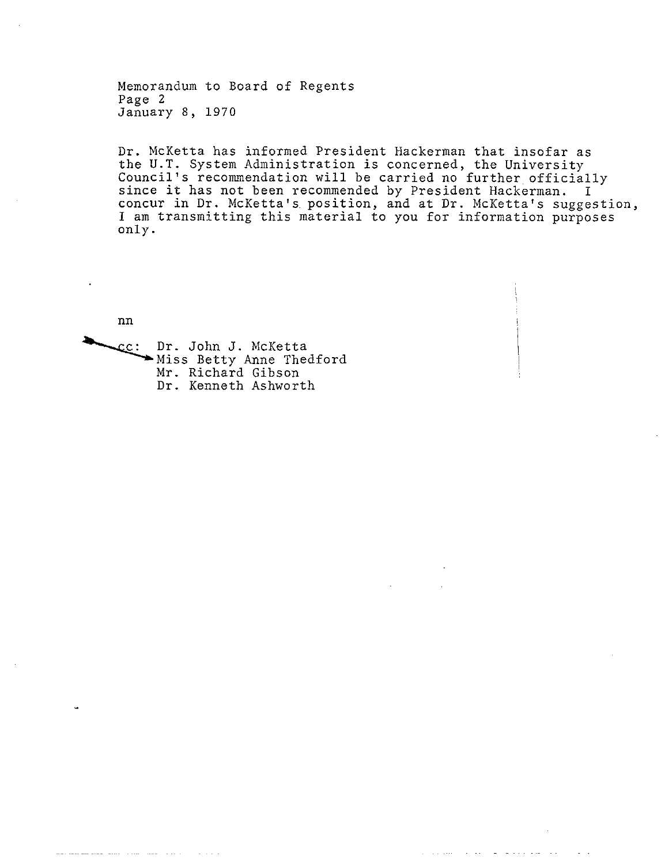Memorandum to Board of Regents Page 2 January 8, 1970

Dr. McKetta has informed President Hackerman that insofar as the U.T. System Administration is concerned, the University Council's recommendation will be carried no further, officially since it has not been recommended by President Hackerman. I concur in Dr. McKetta's. position, and at Dr. McKetta's suggestion, I am transmitting this material to you for information purposes only.

 $nn$ 

CC: Dr. John J. McKetta Miss Betty Anne Thedford Mr. Richard Gibson Dr. Kenneth Ashworth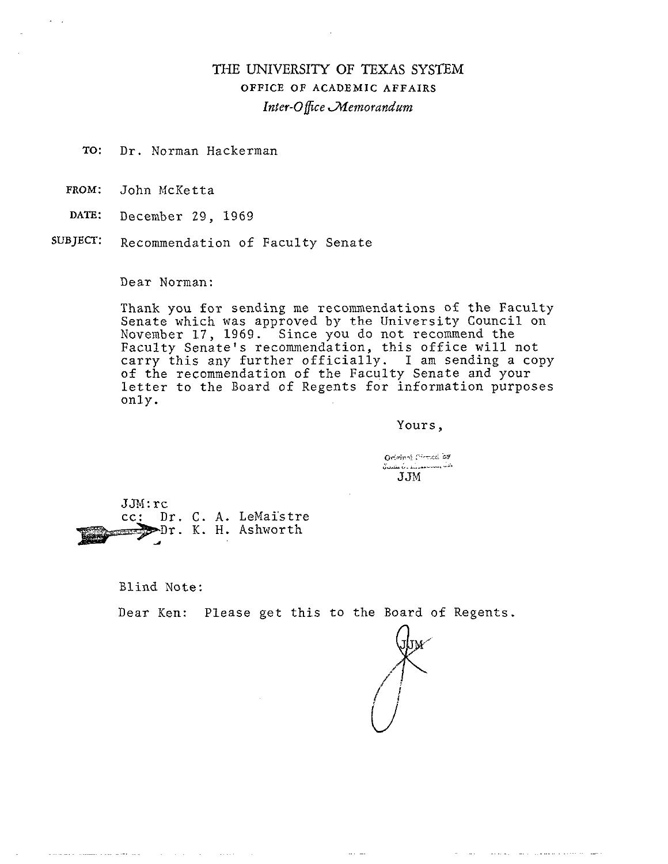# THE UNIVERSITY OF TEXAS SYSTEM OFFICE OF ACADEMIC AFFAIRS *Inter-Office Aemorandum*

- TO: Dr. Norman Hackerman
- PROM: John McKetta

 $\lambda$ 

- DATE: December 29, 1969
- SUBJECT: Recommendation of Faculty Senate

Dear Norman:

Thank you for sending me recommendations of the Faculty Senate which was approved by the University Council on November 17, 1969. Since you do not recommend the Faculty Senate's recommendation, this office will not carry this any further officially. I am sending a copy of the recommendation of the Faculty Senate and your letter to the Board of Regents for information purposes only.

Yours,

Original formed as وتدب ومحاب مستشفات بالطفيف كا  $JJM$ 

JJM:rc cc: Dr. C. A. LeMaistre Dr. K. H. Ashworth

and a strategic control of the state

المستحجب للمحاول والمستندر الانجاد والمحا

Blind Note:

Dear Ken: Please get this to the Board of Regents.

 $\sim 100$  km s  $^{-1}$ 

in the experimental department of the experiment

المنفرات الماليك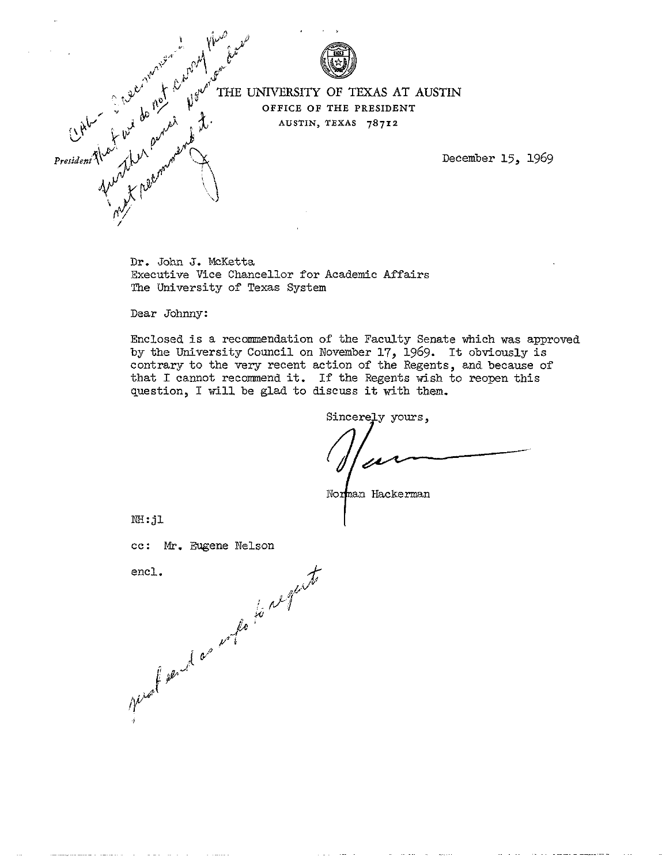

**EVALUATE UNIVERSITY OF TEXAS AT AUSTIN AUSTIN, TEXAS 78712** 

December 15, 1969

Dr. John *3.* McKetta Executive Vice Chancellor for Academic **Affa**  The University of Texas System

Dear Johnny:

Enclosed is a recommendation of the Faculty Senate which was approved by the University Council on November 17, 1969. It obviously is contrary to the very recent action of the Regents, and because of that I cannot recommend it. If the Regents wish to reopen this question, I will be glad to discuss it with them.

SincereJy yours,

Norman Hackerman

**NH: jl** 

الريبين والمحافظ والمستحد

cc: Mr. Eugene Nelson<br>encl.<br>pushed as who is not the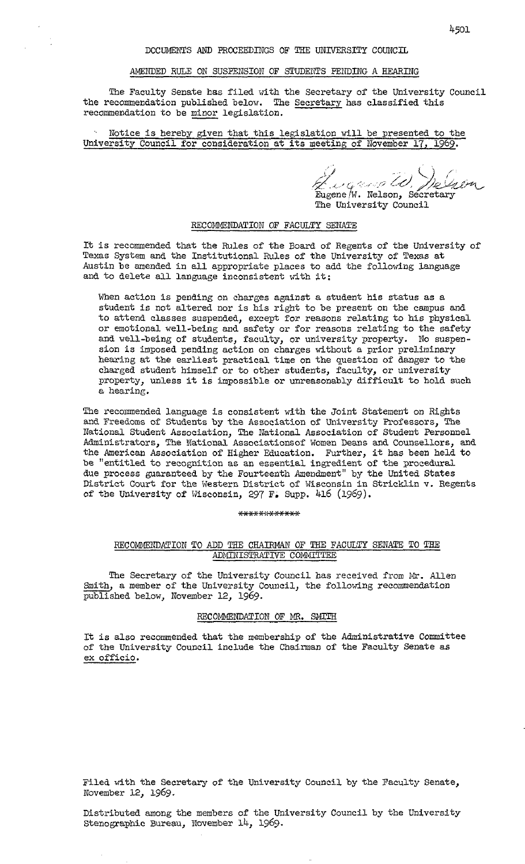#### AMENDED RULE ON SUSPENSION OF STUDENTS PENDING A HEARING

The Faculty Senate has filed with the Secretary of the University Council the recommendation published below. The Secretary has classified this DOCUMENTS AND PROCEEDINGS ON AMENDED RULE ON SUSPENSION OF<br>The Faculty Senate has filed with<br>the recommendation published below. The<br>recommendation to be <u>minor</u> legislation.<br>Notice is hereby given that this l

Notice is hereby given that this legislation will be presented to the University Council for consideration at its meeting of November 17, 1969.

The University Council<br>The University Council

## RECOMMENDATION OF FACULTY SENATE

It is recommended that the Rules of the Board of Regents of the University of Texas System and the Institutional Rules of the University of Texas at Austin be amended in all appropriate places to add the following language and to delete all language inconsistent with it:

When action is pending on charges against a student his status as a student is not altered nor is his right to be present on the campus and to attend classes suspended, except for reasons relating to his physical or emotional well-being and safety or for reasons relating to the safety and well-being of students, faculty, or university property. No suspension is imposed pending action on charges without a prior preliminary hearing at the earliest practical time on the question of danger to the charged student himself or to other students, faculty, or university property, unless it is impossible or unreasonably difficult to hold such a hearing.

The recommended language is consistent with the Joint Statement on Rights and Freedoms of Students by the Association of University Professors, The National Student Association, The National Association of Student Personnel Administrators, The National Associationsof Women Deans and Counsellors, and the American Association of Higher Education. Further, it has been held to be "entitled to recognition as an essential ingredient of the procedural due process guaranteed by the Fourteenth Amendment" by the United States District Court for the Western District of Wisconsin in Stricklin v. Regents of the University of Wisconsin, 297 F. Supp. 416 (1969).

#### \*\*\*\*\*\*\*\*\*\*\*\*\*

## RECOMMENDATION TO ADD THE CHAIRMAN OF THE FACULTY SENATE TO THE ADMINISTRATIVE COMMITTEE

The Secretary of the University Council has received from Mr. Allen Smith, a member of the University Council, the following recommendation published below, November 12, 1969.

### RECOMMENDATION OF MR. SMITH

It is also recommended that the membership of the Administrative Committee of the University Council include the Chairman of the Faculty Senate as ex officio.

Filed witb the Secretary of the University Council by the Faculty Senate, November 12, 1969.

Distributed among the members of the University Council by the University Stenographic Bureau, November 14, 1969.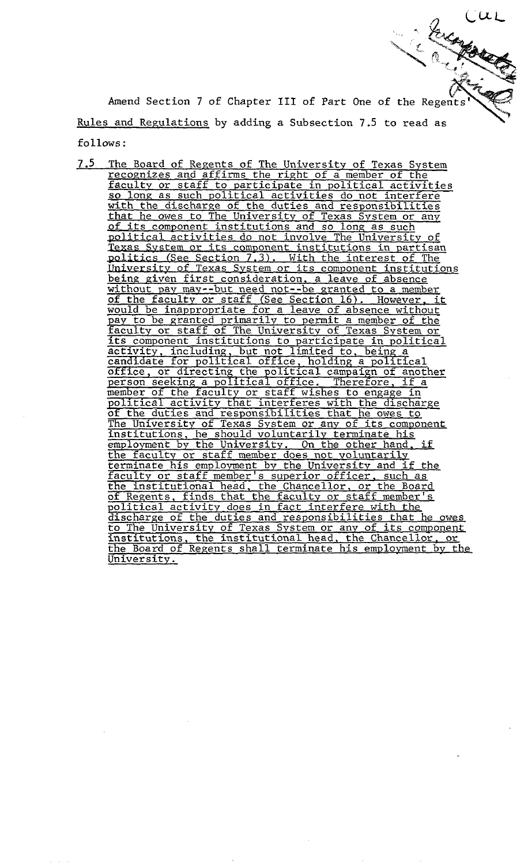A<br>Rules<br>5.11 follows: Rules and Regulations by adding a Subsection 7.5 to read as<br>
follows:<br>
<u>7.5 The Board of Regents of The University of Texas System</u><br>
<u>recognizes and affirms the right of a member of the</u> Amend Section 7 of Chapter **I11** of Part One of the Rege

The Board of Regents of The University of Texas System recognizes and affirms the right of a member of the faculty or staff to participate in political activities so long as such political activities do not interfere with the discharge of the duties and responsibilities that he owes to The University of Texas System or any of its component institutions and so long as such political activities do not involve The University of Texas System or its component institutions in partisan lcs (See Section 7.3). With the interest of The University of Texas System or its component institutions being given first consideration. a leave of absence without pay may--but need not--be granted to a member **of** the faculty or staff (See Section 16). However. it would be inappropriate for a leave of absence without pay to be granted primarily to permit a member of the faculty or staff of The University of Texas System or of the duties and responsibilities that he owes to institutions, he should voluntarily terminate his<br>employment by the University. On the other hand, if<br>the faculty or staff member does not voluntarily the £acuity or staff member does not voluntarilv terminate his employment by the Universitv and if the faculty or staff member's superior officer. such as the institutional head, the Chancellor, or the Board of Regents, finds that the facultv or staff member's political activity does in fact interfere with the discharge of the duties and responsibilities that he owes to The University of Texas System or any of its component institutions, the institutional head. the Chancellor. or the Board of Regents shall terminate his employment by the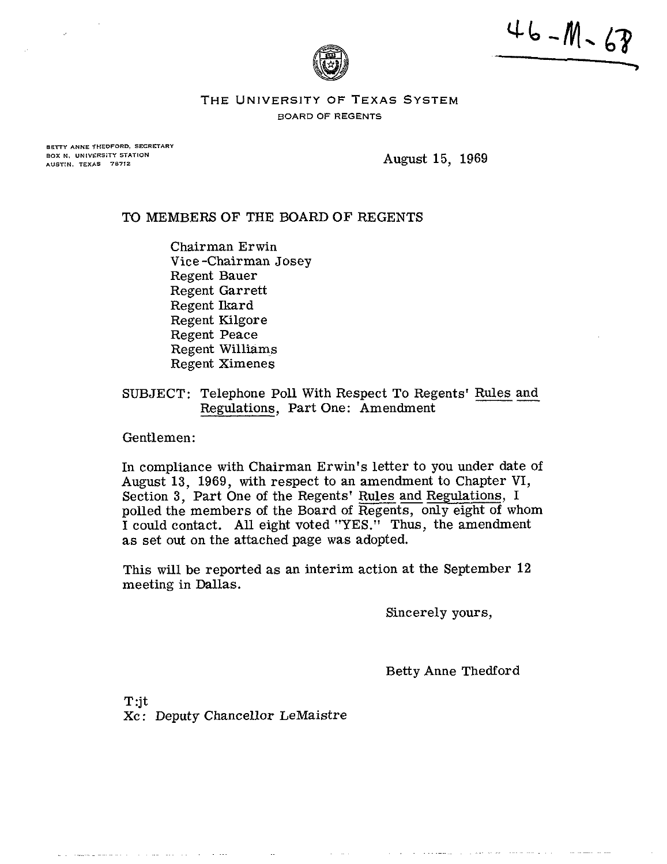$46 - M - 68$ 



**THE UNIVERSITY OF TEXAS SYSTEM BOARD OF REGENTS** 

BETTY ANNE THEDFORD, SECRETARY BOX N. UNIVERSITY STATION AUSTIN, TEXAS 78712

August 15, 1969

# TO MEMBERS OF THE BOARD OF REGENTS

Chairman Erwin Vice -Chairman Josey Regent Bauer Regent Garrett Regent Ikard Regent Kilgore Regent Peace Regent Williams Regent Ximenes

SUBJECT: Telephone Poll With Respect To Regents' Rules and Regulations, Part One: Amendment

Gentlemen:

and compared with a state of the contract of the

In compliance with Chairman Erwin's letter to you under date of August 13, 1969, with respect to an amendment to Chapter VI, Section 3, Part One of the Regents' Rules and Regulations, I polled the members of the Board of Regents, only eight of whom I could contact. All eight voted "YES." Thus, the amendment as set out on the attached page was adopted.

This will be reported as an interim action at the September 12 meeting in Dallas.

Sincerely yours,

Betty Anne Thedford

T:jt Xc : Deputy Chancellor LeMaistre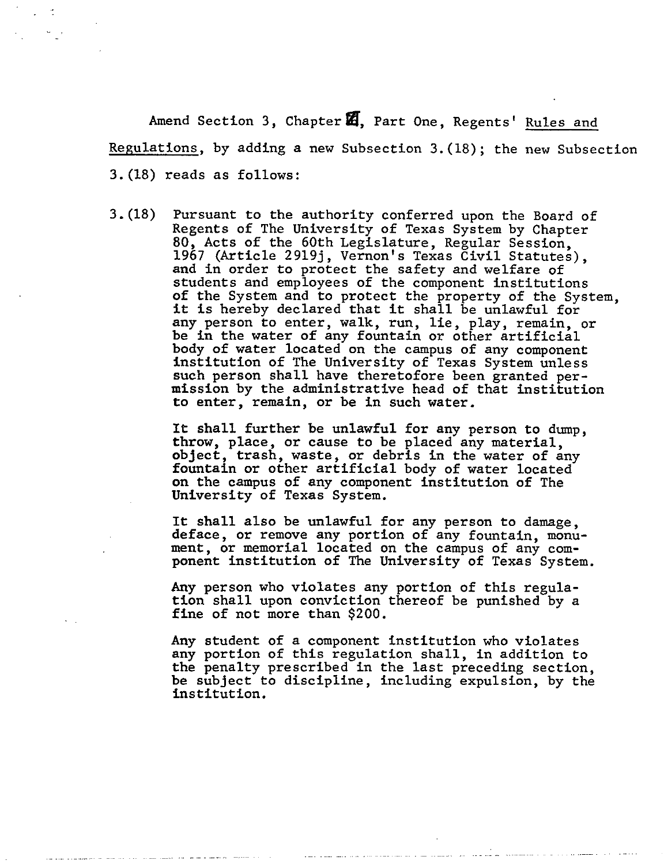Amend Section 3, Chapter **a,** Part One, Regents' Rules and Regulations, by adding a new Subsection 3.(18); the new Subsection 3.(18) reads as follows:

3.(18) Pursuant to the authority conferred upon the Board of Regents of The University of Texas System by Chapter 80, Acts of the 60th Legislature, Regular Session, 1967 (Article 2919j, Vernon's Texas Civil Statutes), and in order to protect the safety and welfare of students and employees of the component institutions of the System and to protect the property of the System, it is hereby declared that it shall be unlawful for any person to enter, walk, run, lie, play, remain, or be in the water of any fountain or other artificial body of water located on the campus of any component institution of The University of Texas System unless such person shall have theretofore been granted permission by the administrative head of that institution to enter, remain, or be in such water.

> It shall further be unlawful for any person to dump, throw, place, or cause to be placed any material, object, trash, waste, or debris in the water of any fountain or other artificial body of water located on the campus of any component institution of The University of Texas System.

It shall also be unlawful for any person to damage, deface, or remove any portion of any fountain, monument, or memorial located on the campus of any component institution of The University of Texas System.

Any person who violates any portion of this regulation shall upon conviction thereof be punished by a fine of not more than \$200.

Any student of a component institution who violates any portion of this regulation shall, in addition to the penalty prescribed in the last preceding section, be subject to discipline, including expulsion, by the institution.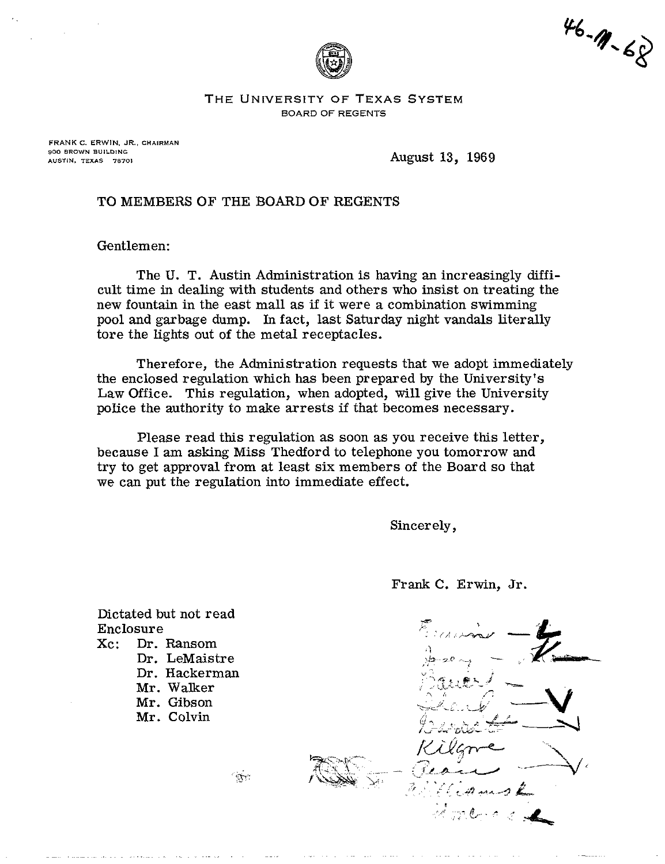

 $46 - 11 - 68$ 

**THE UNIVERSITY OF TEXAS SYSTEM BOARD OF REGENTS** 

**FRANK C. ERWIN. JR., CHAIRMAN 900 BROWN BUlLDiNC AUSTIN. TEXAS 78701** 

August 13, 1969

# TO MEMBERS OF THE BOARD OF REGENTS

Gentlemen:

The U. T. Austin Administration is having an increasingly difficult time in dealing with students and others who insist on treating the new fountain in the east mall as if it were a combination swimming pool and garbage dump. In fact, last Saturday night vandals literally tore the lights out of the metaI receptacles.

Therefore, the Administration requests that we adopt immediately the enclosed regulation which has been prepared by the University's Law Office. This regulation, when adopted, will give the University police the authority to make arrests if that becomes necessary.

Please read this regulation as soon as you receive this letter, because I am asking Miss Thedford to telephone you tomorrow and try to get approval from at least six members of the Board so that we can put the regulation into immediate effect.

Sincerely,

Frank C. Erwin, Jr.



Dictated but not read Enclosure<br>Xc: Dr. Dr. Ransom

Dr. LeMaistre Dr. Hackerman Mr. Walker Mr. Gibson Mr. Colvin

 $\sum_{i=1}^{n}$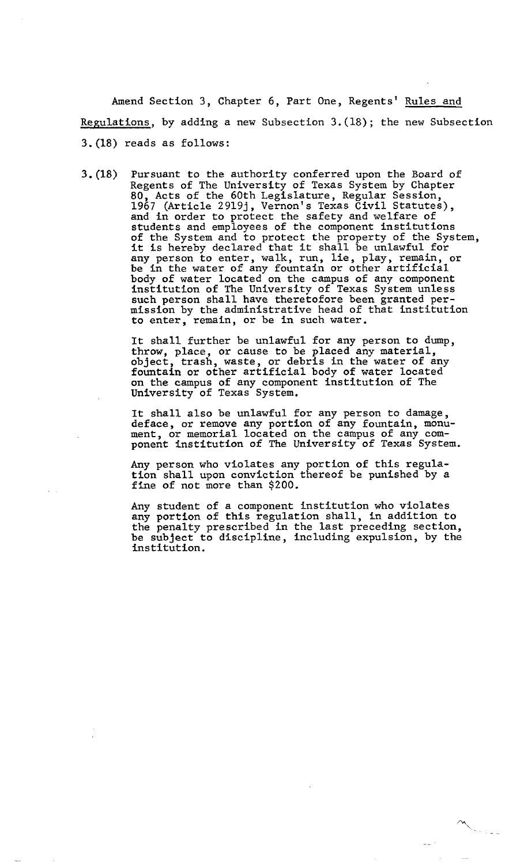Amend Section 3, Chapter 6, Part One, Regents' Rules and Regulations, by adding a new Subsection 3.(18); the new Subsection 3.(18) reads as follows:

3.(18) Pursuant to the authority conferred upon the Board of Regents of The University of Texas System by Chapter 80, Acts of the 60th Legislature, Regular Session, 1967 (Article 2919j, Vernon's Texas Civil Statutes), and in order to protect the safety and welfare of students and employees of the component institutions of the System and to protect the property of the System, it is hereby declared that it shall be unlawful for any person to enter, walk, run, lie, play, remain, or be in the water of any fountain or other artificial body of water located on the campus of any component institution of The Untversity of Texas System unless such person shall have theretofore been granted permission by the administrative head of that institution to enter, remain, or be in such water.

> It shall further be unlawful for any person to dump, throw, place, or cause to be placed any material, object, trash, waste, or debris in the water of any fountain or other artificial body of water located on the campus of any component institution of The University of Texas System.

It shall also be unlawful for any person to damage, deface, or remove any portion of any fountain, monument, or memorial located on the campus of any component institution of The University of Texas System.

Any person who violates any portion of this regulation shall upon conviction thereof be punished by a fine of not more than \$200.

Any student of a component institution who violates any portion of this regulation shall, in addition to the penalty prescribed in the last preceding section, be subject to discipline, including expulsion, by the institution.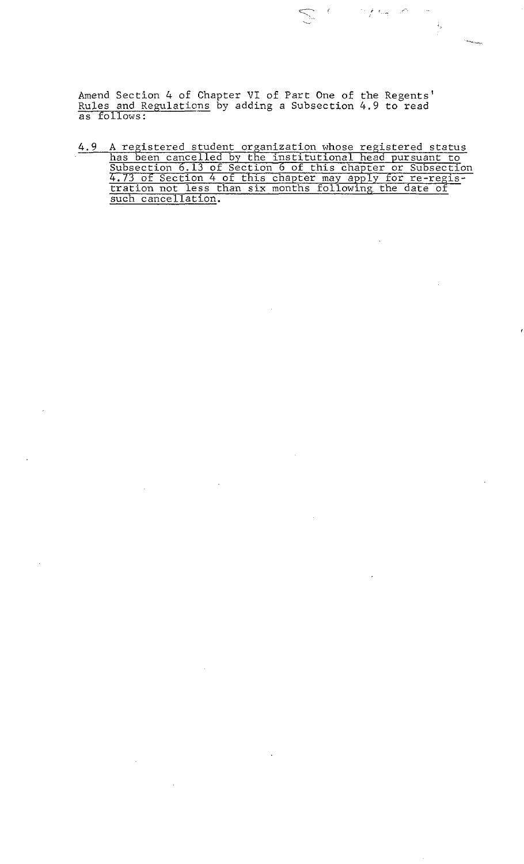Amend Section 4 of Chapter VI of Part One of the Regents' Amend Section 4 of Chapter VI of Part One of the Regents<br>Rules and Regulations by adding a Subsection 4.9 to read<br>as follows: as follows:

4.9 A registered student organization whose registered status<br>has been cancelled by the institutional head pursuant to<br>Subsection 6.13 of Section 6 of this chapter or Subsection<br>4.73 of Section 4 of this chapter may apply

 $\mathcal{F} \in \mathcal{F}(\mathcal{H}_{\text{cusp}})$ 

 $\frac{1}{2}$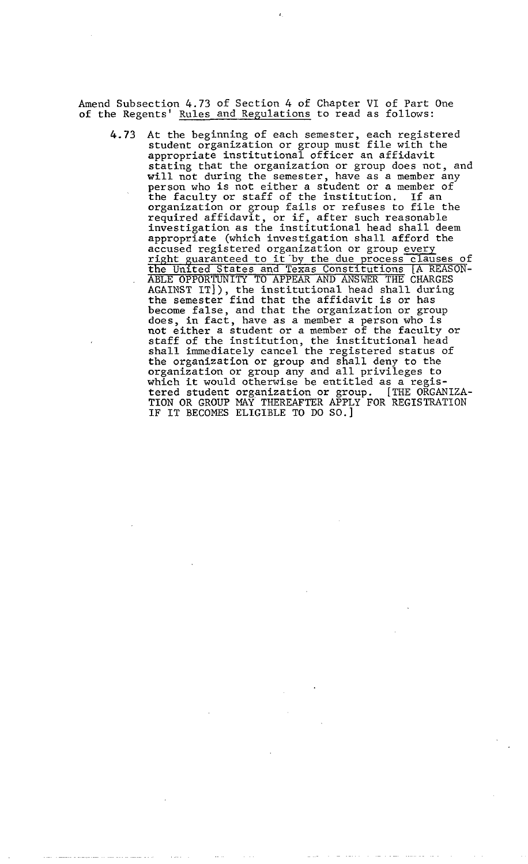Amend Subsection 4.73 of Section 4 of Chapter VI of Part One of the Regents' Rules and Regulations to read as follows:

4.73 At the beginning of each semester, each registered student organization or group must file with the appropriate institutional officer an affidavit stating that the organization or group does not, and will not during the semester, have as a member any person who is not either a student or a member of the faculty or staff of the institution. If an organization or group fails or refuses to file the required affidavit, or if, after such reasonable investigation as the institutional head shall deem appropriate (which investigation shall afford the accused registered organization or group ever Investigation as the instructional head shart doem<br>appropriate (which investigation shall afford the<br>accused registered to it by the due process clauses of<br>the United States and Texas Constitutions [A REASON-ABLE OPPORTUNITY TO APPEAR AND ANSWER THE CHARGES AGAINST IT]), the institutional head shall during the semester find that the affidavit is or has become false, and that the organization or group does, in fact, have as a member a person who is not either a student or a member of the faculty or staff of the institution, the institutional head shall immediately cancel the registered status of the organization or group and shall deny to the organization or group any and all privileges to which it would otherwise be entitled as a registered student organization or group. [THE ORGANIZA-TION OR GROUP MAY THEREAFTER APPLY FOR REGISTRATION IF IT BECOMES ELIGIBLE TO DO SO.]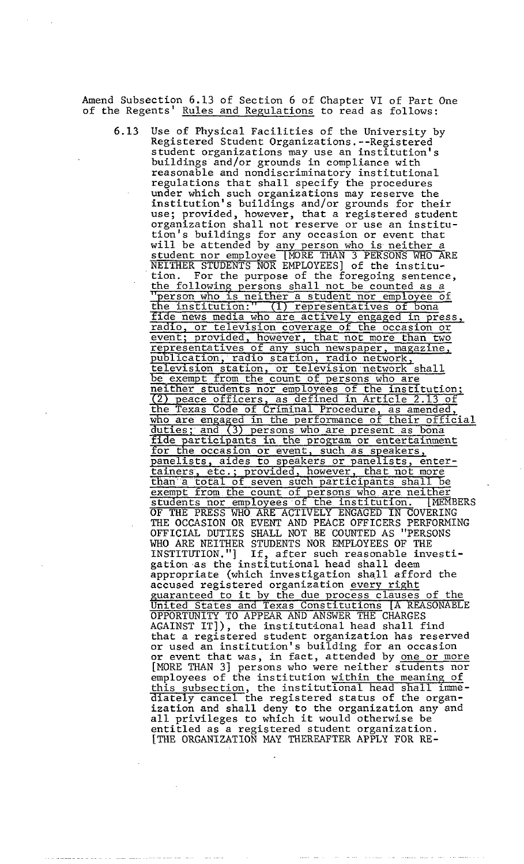Amend Subsection 6.13 of Section 6 of Chapter VI of Part One of the Regents' Rules and Repulations to read as follows:

6.13 Use of Physical Facilities of the University by Registered Student Organizations.--Registered student organizations may use an institution's buildings and/or grounds in compliance with reasonable and nondiscriminatory institutional regulations that shall specify the procedures under which such organizations may reserve the institution's buildings and/or grounds for their use; provided, however, that a registered student organization shall not reserve or use an institution's buildings for any occasion or event that will be attended by any person who is neither a student nor employee [MORE THAN 3 PERSONS WHO ARE NEITHER STUDENTS NOR EMPLOYEES] of the institution. For the purpose of the foregoing sentence, the following persons shall not be counted as a "person who is neither a student nor employee of the institution:" (1) representatives of bona fide news media who are actively engaged in press, radio, or television coverage of the occasion or event; provided, however, that not more than two representatives of any such newspaper, magazine, publication, radio station, radio network, television station, or television network shall be exempt from the count of persons who are neither students nor employees of the institution; 2) peace officers, as defined in Article 2.13 of the Texas Code of Criminal Procedure, as amended, who are engaged in the performance of their official duties; and (3) persons who are present as bona fide participants in the program or entertainment for the occasion or event, such as speakers, anelists, aides to speakers or panelists, entertainers, etc.; provided, however, that not more than a total of seven such participants shall be exempt from the count of persons who are neither students nor employees of the institution. [MEMBERS OF THE PRESS WHO ARE ACTIVELY ENGAGED IN COVERING THE OCCASION OR EVENT AND PEACE OFFICERS PERFORMING OFFICIAL DUTIES SHALL NOT BE COUNTED AS "PERSONS WHO ARE NEITHER STUDENTS NOR EMPLOYEES OF THE INSTITUTION."] If, after such reasonable investigation as the institutional head shall deem appropriate (which investigation shall afford the accused registered organization every right uaranteed to it by the due process clauses of the United States and Texas Constitutions [A REASONABLE OPPORTUNITY TO APPEAR AND ANSWER THE CHARGES AGAINST IT]), the institutional head shall find that a registered student organization has reserved or used an institution's building for an occasion or event that was, in fact, attended by one or more [MORE THAN 31 persons who were neither students nor employees of the institution within the meaning of this subsection, the institutional head shall immediately cancel the registered status of the organization and shall deny to the organization any and all privileges to which it would otherwise be entitled as a registered student organization. [THE ORGANIZATION MAY THEREAFTER APPLY FOR RE-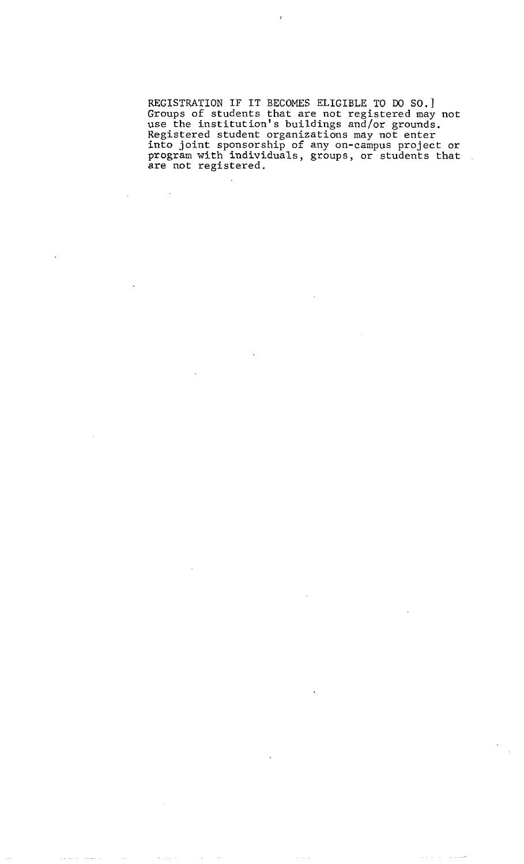**REGISTRATION IF IT BECOMES ELIGIBLE TO DO SO.] Groups of students that are not registered may not use the institution's buildings and/or grounds. Registered student organizations may not enter into joint sponsorship of any on-campus project or program with individuals, groups, or students that are not registered.** 

 $\ddot{\phantom{1}}$ 

 $\sim$ 

 $\omega_{\rm{eff}}$  ,  $\omega_{\rm{eff}}$ 

 $\omega \rightarrow \omega$ 

 $\omega_{\rm{max}}$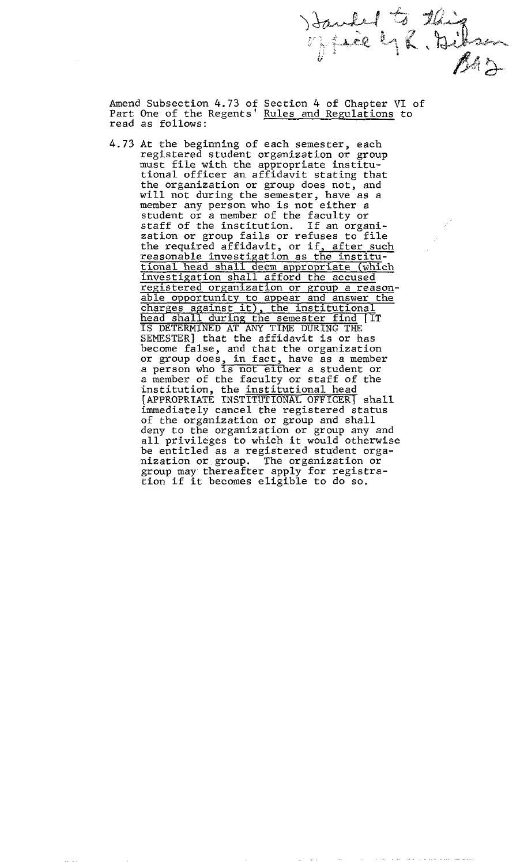Amend Subsection 4.73 of Section 4 of Chapter VI of Part One of the Regents' <u>Rules and Regulations</u> to read as follows:

Handed to this

4.73 At the beginning of each semester, each registered student organization or group must file with the appropriate institutional officer an affidavit stating that the organization or group does not, and will not during the semester, have as a member any person who is not either a student or a member of the faculty or staff of the institution. If an organization or group fails or refuses to file the required affidavit, or if<u>, after such</u> reasonable investigation as the institutional head shall deem appropriate (which investigation shall afford the accused registered organization or group a reasonable opportunity to appear and answer the charges against it), the institutional head shall during the semester find [IT IS DETERMINED AT ANY TIME DURING THE SEMESTER] that the affidavit is or has become false, and that the organization or group does, in fact, have as a member a person who is not either a student or a member of the faculty or staff of the institution, the institutional head [APPROPRIATE INSTITUTIONAL OFFICER] shall immediately cancel the registered status of the organization or group and shall deny to the organization or group any and all privileges to which it would otherwise be entitled as a registered student organization or group. The organization or group may thereafter apply for registration if it becomes eligible to do so.